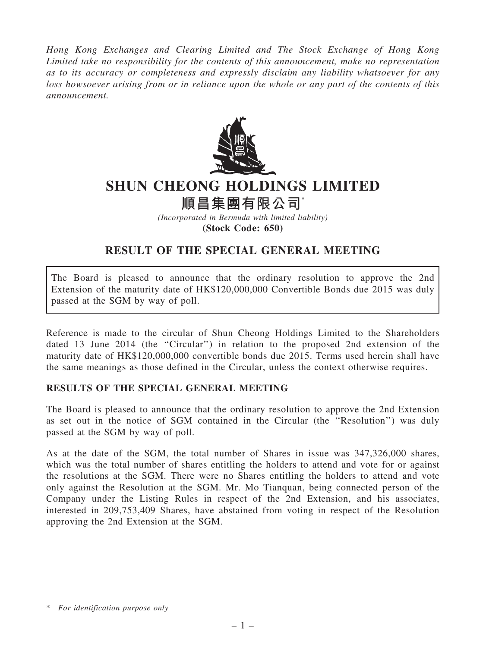Hong Kong Exchanges and Clearing Limited and The Stock Exchange of Hong Kong Limited take no responsibility for the contents of this announcement, make no representation as to its accuracy or completeness and expressly disclaim any liability whatsoever for any loss howsoever arising from or in reliance upon the whole or any part of the contents of this announcement.



## SHUN CHEONG HOLDINGS LIMITED

## 順昌集團有限公司\*

(Incorporated in Bermuda with limited liability) (Stock Code: 650)

## RESULT OF THE SPECIAL GENERAL MEETING

The Board is pleased to announce that the ordinary resolution to approve the 2nd Extension of the maturity date of HK\$120,000,000 Convertible Bonds due 2015 was duly passed at the SGM by way of poll.

Reference is made to the circular of Shun Cheong Holdings Limited to the Shareholders dated 13 June 2014 (the ''Circular'') in relation to the proposed 2nd extension of the maturity date of HK\$120,000,000 convertible bonds due 2015. Terms used herein shall have the same meanings as those defined in the Circular, unless the context otherwise requires.

## RESULTS OF THE SPECIAL GENERAL MEETING

The Board is pleased to announce that the ordinary resolution to approve the 2nd Extension as set out in the notice of SGM contained in the Circular (the ''Resolution'') was duly passed at the SGM by way of poll.

As at the date of the SGM, the total number of Shares in issue was 347,326,000 shares, which was the total number of shares entitling the holders to attend and vote for or against the resolutions at the SGM. There were no Shares entitling the holders to attend and vote only against the Resolution at the SGM. Mr. Mo Tianquan, being connected person of the Company under the Listing Rules in respect of the 2nd Extension, and his associates, interested in 209,753,409 Shares, have abstained from voting in respect of the Resolution approving the 2nd Extension at the SGM.

<sup>\*</sup> For identification purpose only